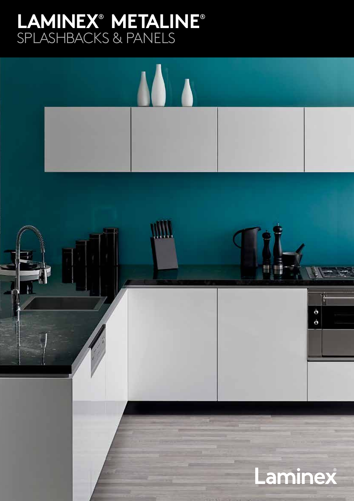# **LAMINEX**®  **METALINE**® SPLASHBACKS & PANELS

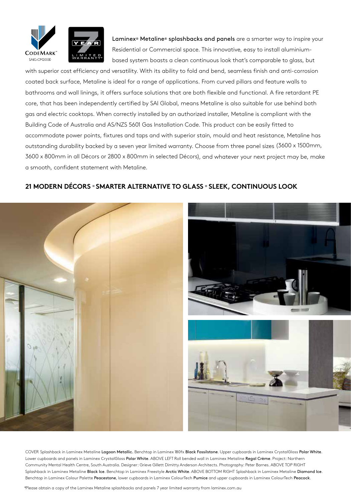

Laminex<sup>®</sup> Metaline® splashbacks and panels are a smarter way to inspire your Residential or Commercial space. This innovative, easy to install aluminiumbased system boasts a clean continuous look that's comparable to glass, but

with superior cost efficiency and versatility. With its ability to fold and bend, seamless finish and anti-corrosion coated back surface, Metaline is ideal for a range of applications. From curved pillars and feature walls to bathrooms and wall linings, it offers surface solutions that are both flexible and functional. A fire retardant PE core, that has been independently certified by SAI Global, means Metaline is also suitable for use behind both gas and electric cooktops. When correctly installed by an authorized installer, Metaline is compliant with the Building Code of Australia and AS/NZS 5601 Gas Installation Code. This product can be easily fitted to accommodate power points, fixtures and taps and with superior stain, mould and heat resistance, Metaline has outstanding durability backed by a seven year limited warranty. Choose from three panel sizes (3600 x 1500mm, 3600 x 800mm in all Décors or 2800 x 800mm in selected Décors), and whatever your next project may be, make a smooth, confident statement with Metaline.

### **21 MODERN DÉCORS « SMARTER ALTERNATIVE TO GLASS « SLEEK, CONTINUOUS LOOK**



COVER Splashback in Laminex Metaline Lagoon Metallic. Benchtop in Laminex 180fx Black Fossilstone. Upper cupboards in Laminex CrystalGloss Polar White. Lower cupboards and panels in Laminex CrystalGloss Polar White. ABOVE LEFT Roll bended wall in Laminex Metaline Regal Crème. Project: Northern Community Mental Health Centre, South Australia. Designer: Grieve Gillett Dimitty Anderson Architects. Photography: Peter Barnes. ABOVE TOP RIGHT Splashback in Laminex Metaline Black Ice. Benchtop in Laminex Freestyle Arctic White. ABOVE BOTTOM RIGHT Splashback in Laminex Metaline Diamond Ice. Benchtop in Laminex Colour Palette Peacestone, lower cupboards in Laminex ColourTech Pumice and upper cupboards in Laminex ColourTech Peacock.

\* Please obtain a copy of the Laminex Metaline splashbacks and panels 7 year limited warranty from laminex.com.au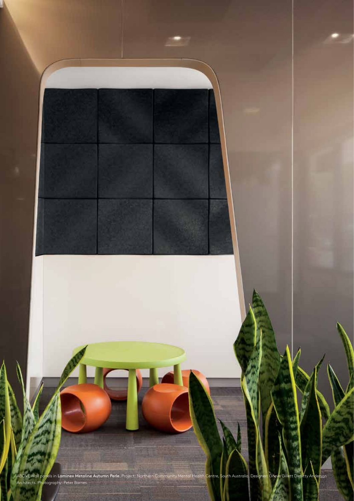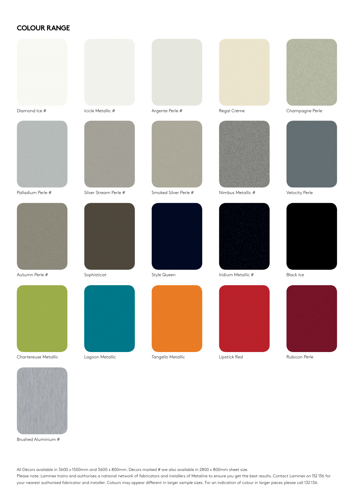#### **COLOUR RANGE**





Palladium Perle #



Autumn Perle #



Silver Stream Perle #



Sophisticat



Lagoon Metallic Tangello Metallic Lipstick Red Rubicon Perle





Smoked Silver Perle # Nimbus Metallic # Velocity Perle











Style Queen **Iridium Metallic #** Black Ice













Chartereuse Metallic

Brushed Aluminium #

All Décors available in 3600 x 1500mm and 3600 x 800mm. Décors marked # are also available in 2800 x 800mm sheet size.

Please note: Laminex trains and authorises a national network of fabricators and installers of Metaline to ensure you get the best results. Contact Laminex on 132 136 for your nearest authorised fabricator and installer. Colours may appear different in larger sample sizes. For an indication of colour in larger pieces please call 132 136.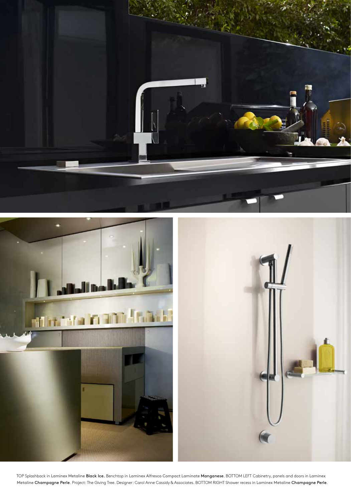



TOP Splashback in Laminex Metaline Black Ice. Benchtop in Laminex Alfresco Compact Laminate Manganese. BOTTOM LEFT Cabinetry, panels and doors in Laminex Metaline Champagne Perle. Project: The Giving Tree. Designer: Carol Anne Cassidy & Associates. BOTTOM RIGHT Shower recess in Laminex Metaline Champagne Perle.